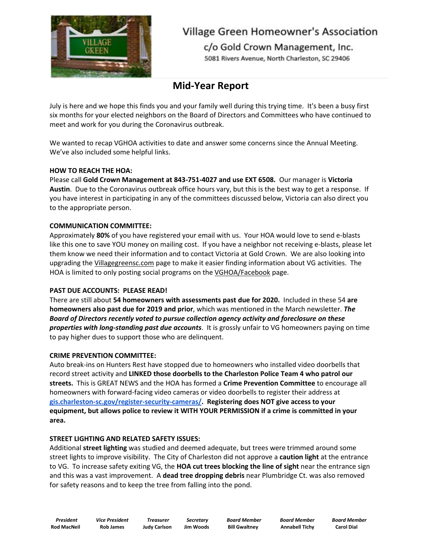

# **Village Green Homeowner's Association**

c/o Gold Crown Management, Inc. 5081 Rivers Avenue, North Charleston, SC 29406

# **Mid-Year Report**

July is here and we hope this finds you and your family well during this trying time. It's been a busy first six months for your elected neighbors on the Board of Directors and Committees who have continued to meet and work for you during the Coronavirus outbreak.

We wanted to recap VGHOA activities to date and answer some concerns since the Annual Meeting. We've also included some helpful links.

# **HOW TO REACH THE HOA:**

Please call **Gold Crown Management at 843-751-4027 and use EXT 6508.** Our manager is **Victoria Austin**. Due to the Coronavirus outbreak office hours vary, but this is the best way to get a response. If you have interest in participating in any of the committees discussed below, Victoria can also direct you to the appropriate person.

# **COMMUNICATION COMMITTEE:**

Approximately **80%** of you have registered your email with us. Your HOA would love to send e-blasts like this one to save YOU money on mailing cost. If you have a neighbor not receiving e-blasts, please let them know we need their information and to contact Victoria at Gold Crown. We are also looking into upgrading the Villagegreensc.com page to make it easier finding information about VG activities. The HOA is limited to only posting social programs on the VGHOA/Facebook page.

# **PAST DUE ACCOUNTS: PLEASE READ!**

There are still about **54 homeowners with assessments past due for 2020.** Included in these 54 **are homeowners also past due for 2019 and prior**, which was mentioned in the March newsletter. *The Board of Directors recently voted to pursue collection agency activity and foreclosure on these properties with long-standing past due accounts*. It is grossly unfair to VG homeowners paying on time to pay higher dues to support those who are delinquent.

# **CRIME PREVENTION COMMITTEE:**

Auto break-ins on Hunters Rest have stopped due to homeowners who installed video doorbells that record street activity and **LINKED those doorbells to the Charleston Police Team 4 who patrol our streets.** This is GREAT NEWS and the HOA has formed a **Crime Prevention Committee** to encourage all homeowners with forward-facing video cameras or video doorbells to register their address at **[gis.charleston-sc.gov/register-security-cameras/.](http://gis.charleston-sc.gov/register-security-cameras/) Registering does NOT give access to your equipment, but allows police to review it WITH YOUR PERMISSION if a crime is committed in your area.**

# **STREET LIGHTING AND RELATED SAFETY ISSUES:**

Additional **street lighting** was studied and deemed adequate, but trees were trimmed around some street lights to improve visibility. The City of Charleston did not approve a **caution light** at the entrance to VG. To increase safety exiting VG, the **HOA cut trees blocking the line of sight** near the entrance sign and this was a vast improvement. A **dead tree dropping debris** near Plumbridge Ct. was also removed for safety reasons and to keep the tree from falling into the pond.